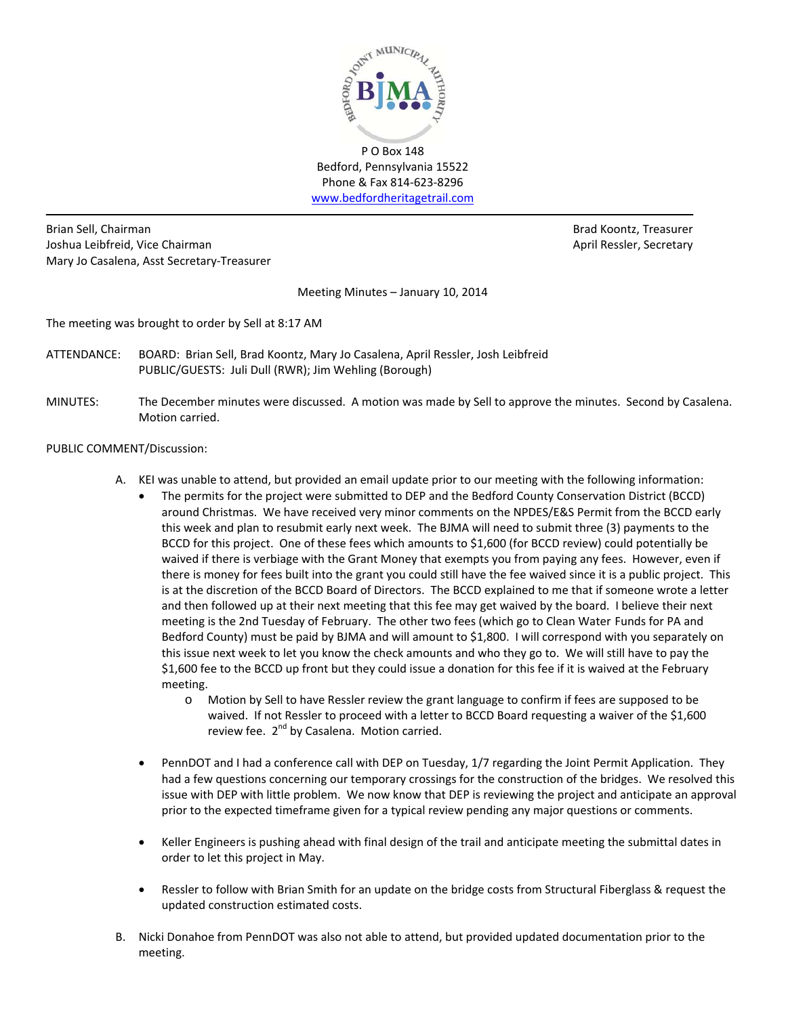

P O Box 148 Bedford, Pennsylvania 15522 Phone & Fax 814‐623‐8296 www.bedfordheritagetrail.com

Brian Sell, Chairman Brad Koontz, Treasurer Joshua Leibfreid, Vice Chairman **April Ressler, Secretary** April Ressler, Secretary Mary Jo Casalena, Asst Secretary‐Treasurer

Meeting Minutes – January 10, 2014

The meeting was brought to order by Sell at 8:17 AM

- ATTENDANCE: BOARD: Brian Sell, Brad Koontz, Mary Jo Casalena, April Ressler, Josh Leibfreid PUBLIC/GUESTS: Juli Dull (RWR); Jim Wehling (Borough)
- MINUTES: The December minutes were discussed. A motion was made by Sell to approve the minutes. Second by Casalena. Motion carried.

# PUBLIC COMMENT/Discussion:

- A. KEI was unable to attend, but provided an email update prior to our meeting with the following information:
	- The permits for the project were submitted to DEP and the Bedford County Conservation District (BCCD) around Christmas. We have received very minor comments on the NPDES/E&S Permit from the BCCD early this week and plan to resubmit early next week. The BJMA will need to submit three (3) payments to the BCCD for this project. One of these fees which amounts to \$1,600 (for BCCD review) could potentially be waived if there is verbiage with the Grant Money that exempts you from paying any fees. However, even if there is money for fees built into the grant you could still have the fee waived since it is a public project. This is at the discretion of the BCCD Board of Directors. The BCCD explained to me that if someone wrote a letter and then followed up at their next meeting that this fee may get waived by the board. I believe their next meeting is the 2nd Tuesday of February. The other two fees (which go to Clean Water Funds for PA and Bedford County) must be paid by BJMA and will amount to \$1,800. I will correspond with you separately on this issue next week to let you know the check amounts and who they go to. We will still have to pay the \$1,600 fee to the BCCD up front but they could issue a donation for this fee if it is waived at the February meeting.
		- o Motion by Sell to have Ressler review the grant language to confirm if fees are supposed to be waived. If not Ressler to proceed with a letter to BCCD Board requesting a waiver of the \$1,600 review fee.  $2^{nd}$  by Casalena. Motion carried.
	- PennDOT and I had a conference call with DEP on Tuesday, 1/7 regarding the Joint Permit Application. They had a few questions concerning our temporary crossings for the construction of the bridges. We resolved this issue with DEP with little problem. We now know that DEP is reviewing the project and anticipate an approval prior to the expected timeframe given for a typical review pending any major questions or comments.
	- Keller Engineers is pushing ahead with final design of the trail and anticipate meeting the submittal dates in order to let this project in May.
	- Ressler to follow with Brian Smith for an update on the bridge costs from Structural Fiberglass & request the updated construction estimated costs.
- B. Nicki Donahoe from PennDOT was also not able to attend, but provided updated documentation prior to the meeting.